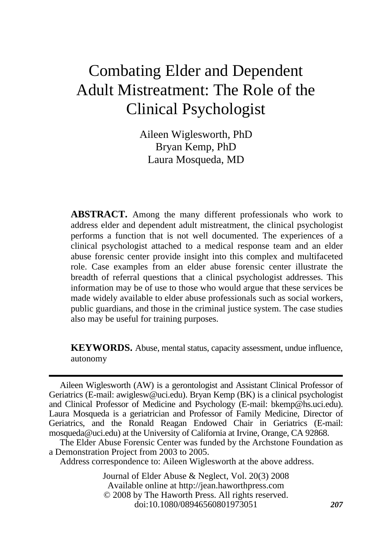# Combating Elder and Dependent Adult Mistreatment: The Role of the Clinical Psychologist

Aileen Wiglesworth, PhD Bryan Kemp, PhD Laura Mosqueda, MD

**ABSTRACT.** Among the many different professionals who work to address elder and dependent adult mistreatment, the clinical psychologist performs a function that is not well documented. The experiences of a clinical psychologist attached to a medical response team and an elder abuse forensic center provide insight into this complex and multifaceted role. Case examples from an elder abuse forensic center illustrate the breadth of referral questions that a clinical psychologist addresses. This information may be of use to those who would argue that these services be made widely available to elder abuse professionals such as social workers, public guardians, and those in the criminal justice system. The case studies also may be useful for training purposes.

**KEYWORDS.** Abuse, mental status, capacity assessment, undue influence, autonomy

Address correspondence to: Aileen Wiglesworth at the above address.

Journal of Elder Abuse & Neglect, Vol. 20(3) 2008 Available online at http://jean.haworthpress.com © 2008 by The Haworth Press. All rights reserved. doi:10.1080/08946560801973051 *207*

Aileen Wiglesworth (AW) is a gerontologist and Assistant Clinical Professor of Geriatrics (E-mail: awiglesw@uci.edu). Bryan Kemp (BK) is a clinical psychologist and Clinical Professor of Medicine and Psychology (E-mail: bkemp@hs.uci.edu). Laura Mosqueda is a geriatrician and Professor of Family Medicine, Director of Geriatrics, and the Ronald Reagan Endowed Chair in Geriatrics (E-mail: mosqueda@uci.edu) at the University of California at Irvine, Orange, CA 92868.

The Elder Abuse Forensic Center was funded by the Archstone Foundation as a Demonstration Project from 2003 to 2005.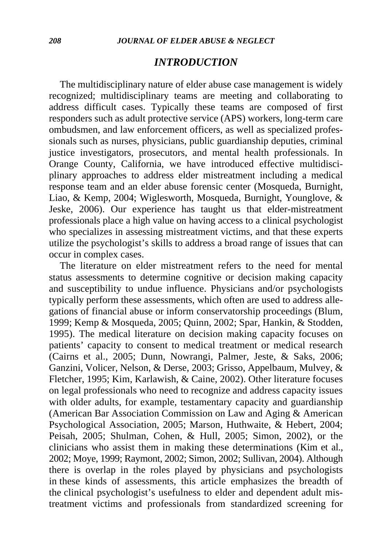### *INTRODUCTION*

The multidisciplinary nature of elder abuse case management is widely recognized; multidisciplinary teams are meeting and collaborating to address difficult cases. Typically these teams are composed of first responders such as adult protective service (APS) workers, long-term care ombudsmen, and law enforcement officers, as well as specialized professionals such as nurses, physicians, public guardianship deputies, criminal justice investigators, prosecutors, and mental health professionals. In Orange County, California, we have introduced effective multidisciplinary approaches to address elder mistreatment including a medical response team and an elder abuse forensic center (Mosqueda, Burnight, Liao, & Kemp, 2004; Wiglesworth, Mosqueda, Burnight, Younglove, & Jeske, 2006). Our experience has taught us that elder-mistreatment professionals place a high value on having access to a clinical psychologist who specializes in assessing mistreatment victims, and that these experts utilize the psychologist's skills to address a broad range of issues that can occur in complex cases.

The literature on elder mistreatment refers to the need for mental status assessments to determine cognitive or decision making capacity and susceptibility to undue influence. Physicians and/or psychologists typically perform these assessments, which often are used to address allegations of financial abuse or inform conservatorship proceedings (Blum, 1999; Kemp & Mosqueda, 2005; Quinn, 2002; Spar, Hankin, & Stodden, 1995). The medical literature on decision making capacity focuses on patients' capacity to consent to medical treatment or medical research (Cairns et al., 2005; Dunn, Nowrangi, Palmer, Jeste, & Saks, 2006; Ganzini, Volicer, Nelson, & Derse, 2003; Grisso, Appelbaum, Mulvey, & Fletcher, 1995; Kim, Karlawish, & Caine, 2002). Other literature focuses on legal professionals who need to recognize and address capacity issues with older adults, for example, testamentary capacity and guardianship (American Bar Association Commission on Law and Aging & American Psychological Association, 2005; Marson, Huthwaite, & Hebert, 2004; Peisah, 2005; Shulman, Cohen, & Hull, 2005; Simon, 2002), or the clinicians who assist them in making these determinations (Kim et al., 2002; Moye, 1999; Raymont, 2002; Simon, 2002; Sullivan, 2004). Although there is overlap in the roles played by physicians and psychologists in these kinds of assessments, this article emphasizes the breadth of the clinical psychologist's usefulness to elder and dependent adult mistreatment victims and professionals from standardized screening for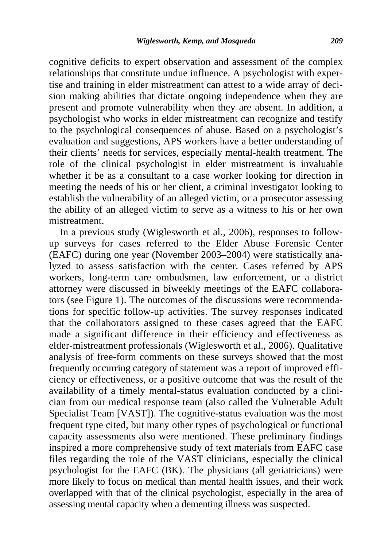cognitive deficits to expert observation and assessment of the complex relationships that constitute undue influence. A psychologist with expertise and training in elder mistreatment can attest to a wide array of decision making abilities that dictate ongoing independence when they are present and promote vulnerability when they are absent. In addition, a psychologist who works in elder mistreatment can recognize and testify to the psychological consequences of abuse. Based on a psychologist's evaluation and suggestions, APS workers have a better understanding of their clients' needs for services, especially mental-health treatment. The role of the clinical psychologist in elder mistreatment is invaluable whether it be as a consultant to a case worker looking for direction in meeting the needs of his or her client, a criminal investigator looking to establish the vulnerability of an alleged victim, or a prosecutor assessing the ability of an alleged victim to serve as a witness to his or her own mistreatment.

In a previous study (Wiglesworth et al., 2006), responses to followup surveys for cases referred to the Elder Abuse Forensic Center (EAFC) during one year (November 2003–2004) were statistically analyzed to assess satisfaction with the center. Cases referred by APS workers, long-term care ombudsmen, law enforcement, or a district attorney were discussed in biweekly meetings of the EAFC collaborators (see Figure 1). The outcomes of the discussions were recommendations for specific follow-up activities. The survey responses indicated that the collaborators assigned to these cases agreed that the EAFC made a significant difference in their efficiency and effectiveness as elder-mistreatment professionals (Wiglesworth et al., 2006). Qualitative analysis of free-form comments on these surveys showed that the most frequently occurring category of statement was a report of improved efficiency or effectiveness, or a positive outcome that was the result of the availability of a timely mental-status evaluation conducted by a clinician from our medical response team (also called the Vulnerable Adult Specialist Team [VAST]). The cognitive-status evaluation was the most frequent type cited, but many other types of psychological or functional capacity assessments also were mentioned. These preliminary findings inspired a more comprehensive study of text materials from EAFC case files regarding the role of the VAST clinicians, especially the clinical psychologist for the EAFC (BK). The physicians (all geriatricians) were more likely to focus on medical than mental health issues, and their work overlapped with that of the clinical psychologist, especially in the area of assessing mental capacity when a dementing illness was suspected.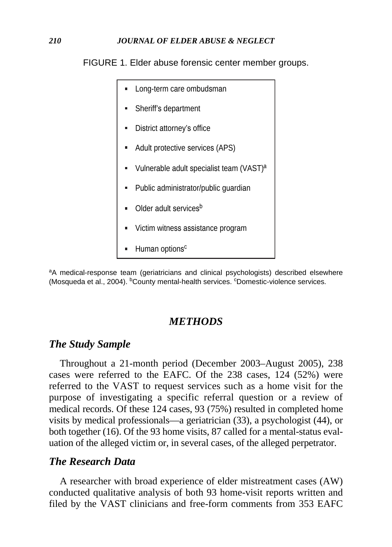FIGURE 1. Elder abuse forensic center member groups.

Long-term care ombudsman **Sheriff's department** District attorney's office ■ Adult protective services (APS) Vulnerable adult specialist team  $(VAST)^a$ **Public administrator/public guardian Dlder adult services**b Victim witness assistance program Human options<sup>c</sup>

<sup>a</sup>A medical-response team (geriatricians and clinical psychologists) described elsewhere (Mosqueda et al., 2004). <sup>b</sup>County mental-health services. <sup>c</sup>Domestic-violence services.

# *METHODS*

# *The Study Sample*

Throughout a 21-month period (December 2003–August 2005), 238 cases were referred to the EAFC. Of the 238 cases, 124 (52%) were referred to the VAST to request services such as a home visit for the purpose of investigating a specific referral question or a review of medical records. Of these 124 cases, 93 (75%) resulted in completed home visits by medical professionals—a geriatrician (33), a psychologist (44), or both together (16). Of the 93 home visits, 87 called for a mental-status evaluation of the alleged victim or, in several cases, of the alleged perpetrator.

## *The Research Data*

A researcher with broad experience of elder mistreatment cases (AW) conducted qualitative analysis of both 93 home-visit reports written and filed by the VAST clinicians and free-form comments from 353 EAFC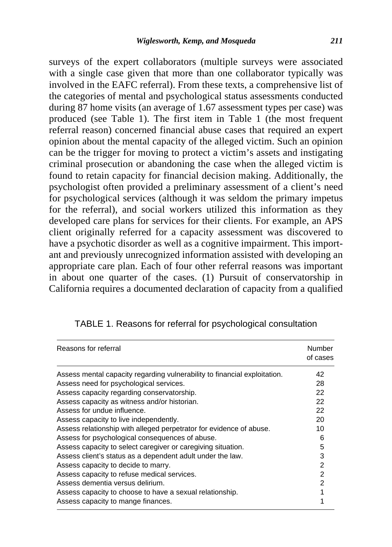surveys of the expert collaborators (multiple surveys were associated with a single case given that more than one collaborator typically was involved in the EAFC referral). From these texts, a comprehensive list of the categories of mental and psychological status assessments conducted during 87 home visits (an average of 1.67 assessment types per case) was produced (see Table 1). The first item in Table 1 (the most frequent referral reason) concerned financial abuse cases that required an expert opinion about the mental capacity of the alleged victim. Such an opinion can be the trigger for moving to protect a victim's assets and instigating criminal prosecution or abandoning the case when the alleged victim is found to retain capacity for financial decision making. Additionally, the psychologist often provided a preliminary assessment of a client's need for psychological services (although it was seldom the primary impetus for the referral), and social workers utilized this information as they developed care plans for services for their clients. For example, an APS client originally referred for a capacity assessment was discovered to have a psychotic disorder as well as a cognitive impairment. This important and previously unrecognized information assisted with developing an appropriate care plan. Each of four other referral reasons was important in about one quarter of the cases. (1) Pursuit of conservatorship in California requires a documented declaration of capacity from a qualified

| Reasons for referral                                                      | Number<br>of cases |
|---------------------------------------------------------------------------|--------------------|
| Assess mental capacity regarding vulnerability to financial exploitation. | 42                 |
| Assess need for psychological services.                                   | 28                 |
| Assess capacity regarding conservatorship.                                | 22                 |
| Assess capacity as witness and/or historian.                              | 22                 |
| Assess for undue influence.                                               | 22                 |
| Assess capacity to live independently.                                    | 20                 |
| Assess relationship with alleged perpetrator for evidence of abuse.       | 10                 |
| Assess for psychological consequences of abuse.                           | 6                  |
| Assess capacity to select caregiver or caregiving situation.              | 5                  |
| Assess client's status as a dependent adult under the law.                | 3                  |
| Assess capacity to decide to marry.                                       | 2                  |
| Assess capacity to refuse medical services.                               | 2                  |
| Assess dementia versus delirium.                                          | 2                  |
| Assess capacity to choose to have a sexual relationship.                  |                    |
| Assess capacity to mange finances.                                        |                    |

TABLE 1. Reasons for referral for psychological consultation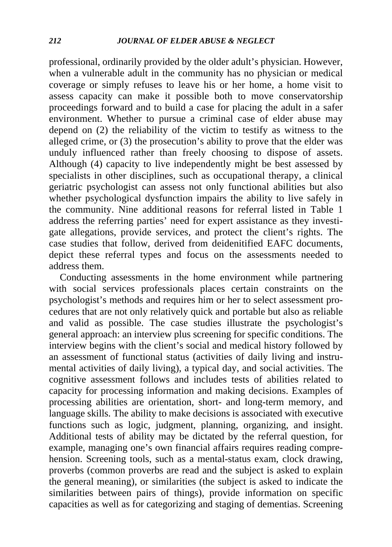professional, ordinarily provided by the older adult's physician. However, when a vulnerable adult in the community has no physician or medical coverage or simply refuses to leave his or her home, a home visit to assess capacity can make it possible both to move conservatorship proceedings forward and to build a case for placing the adult in a safer environment. Whether to pursue a criminal case of elder abuse may depend on (2) the reliability of the victim to testify as witness to the alleged crime, or (3) the prosecution's ability to prove that the elder was unduly influenced rather than freely choosing to dispose of assets. Although (4) capacity to live independently might be best assessed by specialists in other disciplines, such as occupational therapy, a clinical geriatric psychologist can assess not only functional abilities but also whether psychological dysfunction impairs the ability to live safely in the community. Nine additional reasons for referral listed in Table 1 address the referring parties' need for expert assistance as they investigate allegations, provide services, and protect the client's rights. The case studies that follow, derived from deidenitified EAFC documents, depict these referral types and focus on the assessments needed to address them.

Conducting assessments in the home environment while partnering with social services professionals places certain constraints on the psychologist's methods and requires him or her to select assessment procedures that are not only relatively quick and portable but also as reliable and valid as possible. The case studies illustrate the psychologist's general approach: an interview plus screening for specific conditions. The interview begins with the client's social and medical history followed by an assessment of functional status (activities of daily living and instrumental activities of daily living), a typical day, and social activities. The cognitive assessment follows and includes tests of abilities related to capacity for processing information and making decisions. Examples of processing abilities are orientation, short- and long-term memory, and language skills. The ability to make decisions is associated with executive functions such as logic, judgment, planning, organizing, and insight. Additional tests of ability may be dictated by the referral question, for example, managing one's own financial affairs requires reading comprehension. Screening tools, such as a mental-status exam, clock drawing, proverbs (common proverbs are read and the subject is asked to explain the general meaning), or similarities (the subject is asked to indicate the similarities between pairs of things), provide information on specific capacities as well as for categorizing and staging of dementias. Screening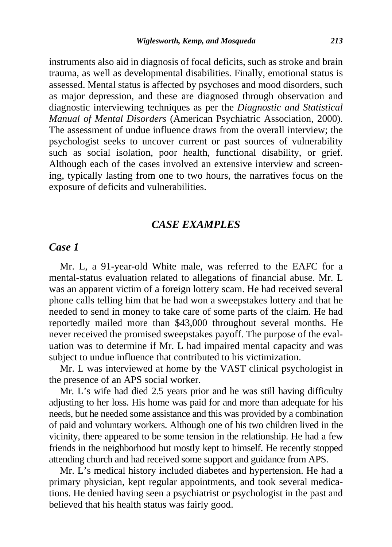instruments also aid in diagnosis of focal deficits, such as stroke and brain trauma, as well as developmental disabilities. Finally, emotional status is assessed. Mental status is affected by psychoses and mood disorders, such as major depression, and these are diagnosed through observation and diagnostic interviewing techniques as per the *Diagnostic and Statistical Manual of Mental Disorders* (American Psychiatric Association, 2000). The assessment of undue influence draws from the overall interview; the psychologist seeks to uncover current or past sources of vulnerability such as social isolation, poor health, functional disability, or grief. Although each of the cases involved an extensive interview and screening, typically lasting from one to two hours, the narratives focus on the exposure of deficits and vulnerabilities.

# *CASE EXAMPLES*

#### *Case 1*

Mr. L, a 91-year-old White male, was referred to the EAFC for a mental-status evaluation related to allegations of financial abuse. Mr. L was an apparent victim of a foreign lottery scam. He had received several phone calls telling him that he had won a sweepstakes lottery and that he needed to send in money to take care of some parts of the claim. He had reportedly mailed more than \$43,000 throughout several months. He never received the promised sweepstakes payoff. The purpose of the evaluation was to determine if Mr. L had impaired mental capacity and was subject to undue influence that contributed to his victimization.

Mr. L was interviewed at home by the VAST clinical psychologist in the presence of an APS social worker.

Mr. L's wife had died 2.5 years prior and he was still having difficulty adjusting to her loss. His home was paid for and more than adequate for his needs, but he needed some assistance and this was provided by a combination of paid and voluntary workers. Although one of his two children lived in the vicinity, there appeared to be some tension in the relationship. He had a few friends in the neighborhood but mostly kept to himself. He recently stopped attending church and had received some support and guidance from APS.

Mr. L's medical history included diabetes and hypertension. He had a primary physician, kept regular appointments, and took several medications. He denied having seen a psychiatrist or psychologist in the past and believed that his health status was fairly good.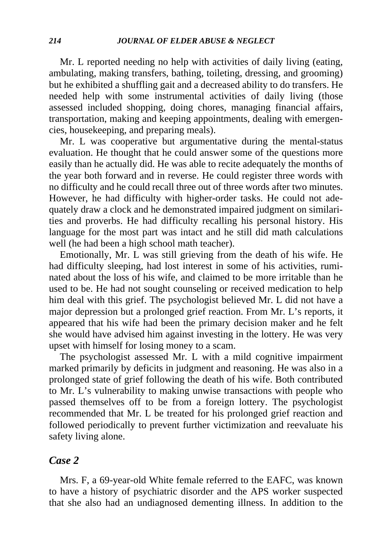Mr. L reported needing no help with activities of daily living (eating, ambulating, making transfers, bathing, toileting, dressing, and grooming) but he exhibited a shuffling gait and a decreased ability to do transfers. He needed help with some instrumental activities of daily living (those assessed included shopping, doing chores, managing financial affairs, transportation, making and keeping appointments, dealing with emergencies, housekeeping, and preparing meals).

Mr. L was cooperative but argumentative during the mental-status evaluation. He thought that he could answer some of the questions more easily than he actually did. He was able to recite adequately the months of the year both forward and in reverse. He could register three words with no difficulty and he could recall three out of three words after two minutes. However, he had difficulty with higher-order tasks. He could not adequately draw a clock and he demonstrated impaired judgment on similarities and proverbs. He had difficulty recalling his personal history. His language for the most part was intact and he still did math calculations well (he had been a high school math teacher).

Emotionally, Mr. L was still grieving from the death of his wife. He had difficulty sleeping, had lost interest in some of his activities, ruminated about the loss of his wife, and claimed to be more irritable than he used to be. He had not sought counseling or received medication to help him deal with this grief. The psychologist believed Mr. L did not have a major depression but a prolonged grief reaction. From Mr. L's reports, it appeared that his wife had been the primary decision maker and he felt she would have advised him against investing in the lottery. He was very upset with himself for losing money to a scam.

The psychologist assessed Mr. L with a mild cognitive impairment marked primarily by deficits in judgment and reasoning. He was also in a prolonged state of grief following the death of his wife. Both contributed to Mr. L's vulnerability to making unwise transactions with people who passed themselves off to be from a foreign lottery. The psychologist recommended that Mr. L be treated for his prolonged grief reaction and followed periodically to prevent further victimization and reevaluate his safety living alone.

### *Case 2*

Mrs. F, a 69-year-old White female referred to the EAFC, was known to have a history of psychiatric disorder and the APS worker suspected that she also had an undiagnosed dementing illness. In addition to the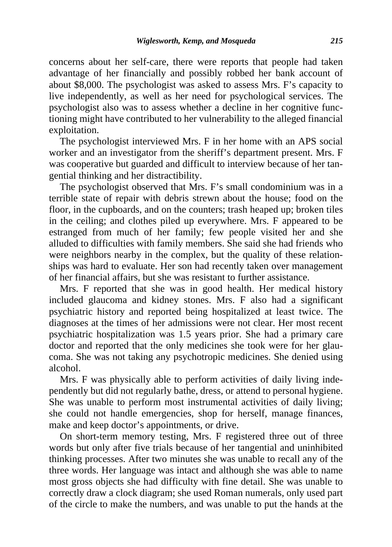concerns about her self-care, there were reports that people had taken advantage of her financially and possibly robbed her bank account of about \$8,000. The psychologist was asked to assess Mrs. F's capacity to live independently, as well as her need for psychological services. The psychologist also was to assess whether a decline in her cognitive functioning might have contributed to her vulnerability to the alleged financial exploitation.

The psychologist interviewed Mrs. F in her home with an APS social worker and an investigator from the sheriff's department present. Mrs. F was cooperative but guarded and difficult to interview because of her tangential thinking and her distractibility.

The psychologist observed that Mrs. F's small condominium was in a terrible state of repair with debris strewn about the house; food on the floor, in the cupboards, and on the counters; trash heaped up; broken tiles in the ceiling; and clothes piled up everywhere. Mrs. F appeared to be estranged from much of her family; few people visited her and she alluded to difficulties with family members. She said she had friends who were neighbors nearby in the complex, but the quality of these relationships was hard to evaluate. Her son had recently taken over management of her financial affairs, but she was resistant to further assistance.

Mrs. F reported that she was in good health. Her medical history included glaucoma and kidney stones. Mrs. F also had a significant psychiatric history and reported being hospitalized at least twice. The diagnoses at the times of her admissions were not clear. Her most recent psychiatric hospitalization was 1.5 years prior. She had a primary care doctor and reported that the only medicines she took were for her glaucoma. She was not taking any psychotropic medicines. She denied using alcohol.

Mrs. F was physically able to perform activities of daily living independently but did not regularly bathe, dress, or attend to personal hygiene. She was unable to perform most instrumental activities of daily living; she could not handle emergencies, shop for herself, manage finances, make and keep doctor's appointments, or drive.

On short-term memory testing, Mrs. F registered three out of three words but only after five trials because of her tangential and uninhibited thinking processes. After two minutes she was unable to recall any of the three words. Her language was intact and although she was able to name most gross objects she had difficulty with fine detail. She was unable to correctly draw a clock diagram; she used Roman numerals, only used part of the circle to make the numbers, and was unable to put the hands at the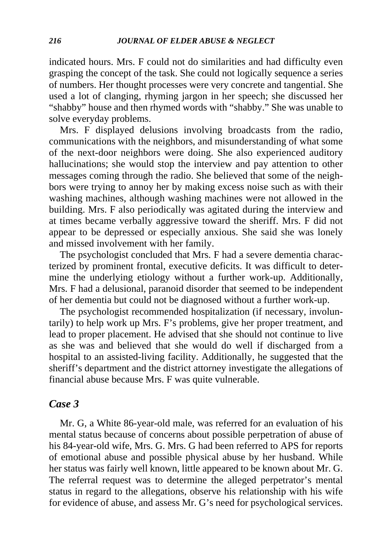indicated hours. Mrs. F could not do similarities and had difficulty even grasping the concept of the task. She could not logically sequence a series of numbers. Her thought processes were very concrete and tangential. She used a lot of clanging, rhyming jargon in her speech; she discussed her "shabby" house and then rhymed words with "shabby." She was unable to solve everyday problems.

Mrs. F displayed delusions involving broadcasts from the radio, communications with the neighbors, and misunderstanding of what some of the next-door neighbors were doing. She also experienced auditory hallucinations; she would stop the interview and pay attention to other messages coming through the radio. She believed that some of the neighbors were trying to annoy her by making excess noise such as with their washing machines, although washing machines were not allowed in the building. Mrs. F also periodically was agitated during the interview and at times became verbally aggressive toward the sheriff. Mrs. F did not appear to be depressed or especially anxious. She said she was lonely and missed involvement with her family.

The psychologist concluded that Mrs. F had a severe dementia characterized by prominent frontal, executive deficits. It was difficult to determine the underlying etiology without a further work-up. Additionally, Mrs. F had a delusional, paranoid disorder that seemed to be independent of her dementia but could not be diagnosed without a further work-up.

The psychologist recommended hospitalization (if necessary, involuntarily) to help work up Mrs. F's problems, give her proper treatment, and lead to proper placement. He advised that she should not continue to live as she was and believed that she would do well if discharged from a hospital to an assisted-living facility. Additionally, he suggested that the sheriff's department and the district attorney investigate the allegations of financial abuse because Mrs. F was quite vulnerable.

### *Case 3*

Mr. G, a White 86-year-old male, was referred for an evaluation of his mental status because of concerns about possible perpetration of abuse of his 84-year-old wife, Mrs. G. Mrs. G had been referred to APS for reports of emotional abuse and possible physical abuse by her husband. While her status was fairly well known, little appeared to be known about Mr. G. The referral request was to determine the alleged perpetrator's mental status in regard to the allegations, observe his relationship with his wife for evidence of abuse, and assess Mr. G's need for psychological services.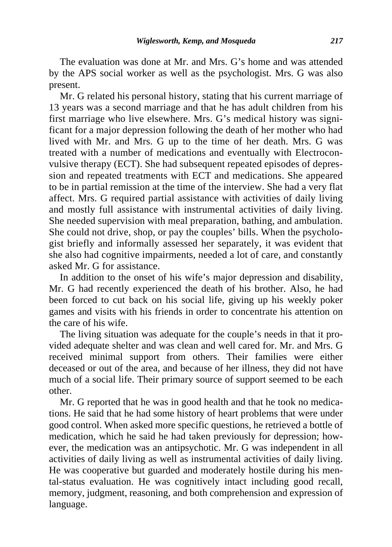The evaluation was done at Mr. and Mrs. G's home and was attended by the APS social worker as well as the psychologist. Mrs. G was also present.

Mr. G related his personal history, stating that his current marriage of 13 years was a second marriage and that he has adult children from his first marriage who live elsewhere. Mrs. G's medical history was significant for a major depression following the death of her mother who had lived with Mr. and Mrs. G up to the time of her death. Mrs. G was treated with a number of medications and eventually with Electroconvulsive therapy (ECT). She had subsequent repeated episodes of depression and repeated treatments with ECT and medications. She appeared to be in partial remission at the time of the interview. She had a very flat affect. Mrs. G required partial assistance with activities of daily living and mostly full assistance with instrumental activities of daily living. She needed supervision with meal preparation, bathing, and ambulation. She could not drive, shop, or pay the couples' bills. When the psychologist briefly and informally assessed her separately, it was evident that she also had cognitive impairments, needed a lot of care, and constantly asked Mr. G for assistance.

In addition to the onset of his wife's major depression and disability, Mr. G had recently experienced the death of his brother. Also, he had been forced to cut back on his social life, giving up his weekly poker games and visits with his friends in order to concentrate his attention on the care of his wife.

The living situation was adequate for the couple's needs in that it provided adequate shelter and was clean and well cared for. Mr. and Mrs. G received minimal support from others. Their families were either deceased or out of the area, and because of her illness, they did not have much of a social life. Their primary source of support seemed to be each other.

Mr. G reported that he was in good health and that he took no medications. He said that he had some history of heart problems that were under good control. When asked more specific questions, he retrieved a bottle of medication, which he said he had taken previously for depression; however, the medication was an antipsychotic. Mr. G was independent in all activities of daily living as well as instrumental activities of daily living. He was cooperative but guarded and moderately hostile during his mental-status evaluation. He was cognitively intact including good recall, memory, judgment, reasoning, and both comprehension and expression of language.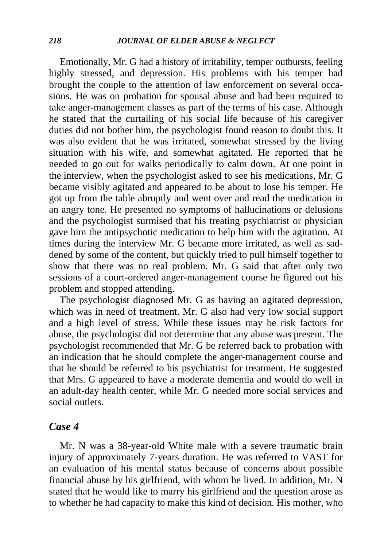Emotionally, Mr. G had a history of irritability, temper outbursts, feeling highly stressed, and depression. His problems with his temper had brought the couple to the attention of law enforcement on several occasions. He was on probation for spousal abuse and had been required to take anger-management classes as part of the terms of his case. Although he stated that the curtailing of his social life because of his caregiver duties did not bother him, the psychologist found reason to doubt this. It was also evident that he was irritated, somewhat stressed by the living situation with his wife, and somewhat agitated. He reported that he needed to go out for walks periodically to calm down. At one point in the interview, when the psychologist asked to see his medications, Mr. G became visibly agitated and appeared to be about to lose his temper. He got up from the table abruptly and went over and read the medication in an angry tone. He presented no symptoms of hallucinations or delusions and the psychologist surmised that his treating psychiatrist or physician gave him the antipsychotic medication to help him with the agitation. At times during the interview Mr. G became more irritated, as well as saddened by some of the content, but quickly tried to pull himself together to show that there was no real problem. Mr. G said that after only two sessions of a court-ordered anger-management course he figured out his problem and stopped attending.

The psychologist diagnosed Mr. G as having an agitated depression, which was in need of treatment. Mr. G also had very low social support and a high level of stress. While these issues may be risk factors for abuse, the psychologist did not determine that any abuse was present. The psychologist recommended that Mr. G be referred back to probation with an indication that he should complete the anger-management course and that he should be referred to his psychiatrist for treatment. He suggested that Mrs. G appeared to have a moderate dementia and would do well in an adult-day health center, while Mr. G needed more social services and social outlets.

#### *Case 4*

Mr. N was a 38-year-old White male with a severe traumatic brain injury of approximately 7-years duration. He was referred to VAST for an evaluation of his mental status because of concerns about possible financial abuse by his girlfriend, with whom he lived. In addition, Mr. N stated that he would like to marry his girlfriend and the question arose as to whether he had capacity to make this kind of decision. His mother, who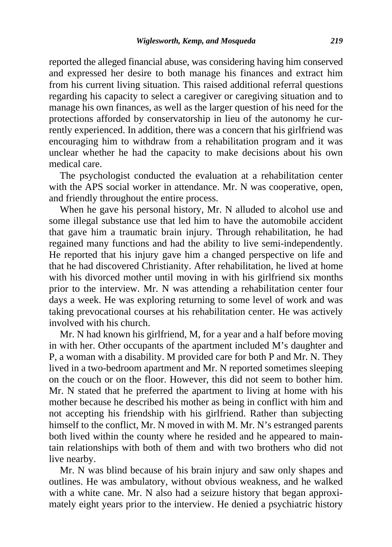reported the alleged financial abuse, was considering having him conserved and expressed her desire to both manage his finances and extract him from his current living situation. This raised additional referral questions regarding his capacity to select a caregiver or caregiving situation and to manage his own finances, as well as the larger question of his need for the protections afforded by conservatorship in lieu of the autonomy he currently experienced. In addition, there was a concern that his girlfriend was encouraging him to withdraw from a rehabilitation program and it was unclear whether he had the capacity to make decisions about his own medical care.

The psychologist conducted the evaluation at a rehabilitation center with the APS social worker in attendance. Mr. N was cooperative, open, and friendly throughout the entire process.

When he gave his personal history, Mr. N alluded to alcohol use and some illegal substance use that led him to have the automobile accident that gave him a traumatic brain injury. Through rehabilitation, he had regained many functions and had the ability to live semi-independently. He reported that his injury gave him a changed perspective on life and that he had discovered Christianity. After rehabilitation, he lived at home with his divorced mother until moving in with his girlfriend six months prior to the interview. Mr. N was attending a rehabilitation center four days a week. He was exploring returning to some level of work and was taking prevocational courses at his rehabilitation center. He was actively involved with his church.

Mr. N had known his girlfriend, M, for a year and a half before moving in with her. Other occupants of the apartment included M's daughter and P, a woman with a disability. M provided care for both P and Mr. N. They lived in a two-bedroom apartment and Mr. N reported sometimes sleeping on the couch or on the floor. However, this did not seem to bother him. Mr. N stated that he preferred the apartment to living at home with his mother because he described his mother as being in conflict with him and not accepting his friendship with his girlfriend. Rather than subjecting himself to the conflict, Mr. N moved in with M. Mr. N's estranged parents both lived within the county where he resided and he appeared to maintain relationships with both of them and with two brothers who did not live nearby.

Mr. N was blind because of his brain injury and saw only shapes and outlines. He was ambulatory, without obvious weakness, and he walked with a white cane. Mr. N also had a seizure history that began approximately eight years prior to the interview. He denied a psychiatric history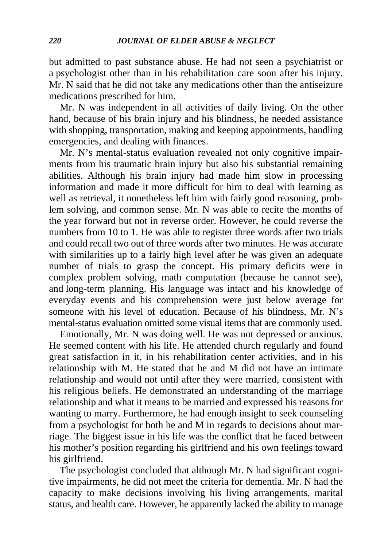but admitted to past substance abuse. He had not seen a psychiatrist or a psychologist other than in his rehabilitation care soon after his injury. Mr. N said that he did not take any medications other than the antiseizure medications prescribed for him.

Mr. N was independent in all activities of daily living. On the other hand, because of his brain injury and his blindness, he needed assistance with shopping, transportation, making and keeping appointments, handling emergencies, and dealing with finances.

Mr. N's mental-status evaluation revealed not only cognitive impairments from his traumatic brain injury but also his substantial remaining abilities. Although his brain injury had made him slow in processing information and made it more difficult for him to deal with learning as well as retrieval, it nonetheless left him with fairly good reasoning, problem solving, and common sense. Mr. N was able to recite the months of the year forward but not in reverse order. However, he could reverse the numbers from 10 to 1. He was able to register three words after two trials and could recall two out of three words after two minutes. He was accurate with similarities up to a fairly high level after he was given an adequate number of trials to grasp the concept. His primary deficits were in complex problem solving, math computation (because he cannot see), and long-term planning. His language was intact and his knowledge of everyday events and his comprehension were just below average for someone with his level of education. Because of his blindness, Mr. N's mental-status evaluation omitted some visual items that are commonly used.

Emotionally, Mr. N was doing well. He was not depressed or anxious. He seemed content with his life. He attended church regularly and found great satisfaction in it, in his rehabilitation center activities, and in his relationship with M. He stated that he and M did not have an intimate relationship and would not until after they were married, consistent with his religious beliefs. He demonstrated an understanding of the marriage relationship and what it means to be married and expressed his reasons for wanting to marry. Furthermore, he had enough insight to seek counseling from a psychologist for both he and M in regards to decisions about marriage. The biggest issue in his life was the conflict that he faced between his mother's position regarding his girlfriend and his own feelings toward his girlfriend.

The psychologist concluded that although Mr. N had significant cognitive impairments, he did not meet the criteria for dementia. Mr. N had the capacity to make decisions involving his living arrangements, marital status, and health care. However, he apparently lacked the ability to manage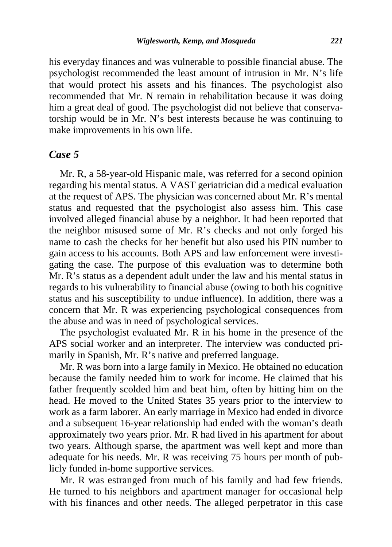his everyday finances and was vulnerable to possible financial abuse. The psychologist recommended the least amount of intrusion in Mr. N's life that would protect his assets and his finances. The psychologist also recommended that Mr. N remain in rehabilitation because it was doing him a great deal of good. The psychologist did not believe that conservatorship would be in Mr. N's best interests because he was continuing to make improvements in his own life.

#### *Case 5*

Mr. R, a 58-year-old Hispanic male, was referred for a second opinion regarding his mental status. A VAST geriatrician did a medical evaluation at the request of APS. The physician was concerned about Mr. R's mental status and requested that the psychologist also assess him. This case involved alleged financial abuse by a neighbor. It had been reported that the neighbor misused some of Mr. R's checks and not only forged his name to cash the checks for her benefit but also used his PIN number to gain access to his accounts. Both APS and law enforcement were investigating the case. The purpose of this evaluation was to determine both Mr. R's status as a dependent adult under the law and his mental status in regards to his vulnerability to financial abuse (owing to both his cognitive status and his susceptibility to undue influence). In addition, there was a concern that Mr. R was experiencing psychological consequences from the abuse and was in need of psychological services.

The psychologist evaluated Mr. R in his home in the presence of the APS social worker and an interpreter. The interview was conducted primarily in Spanish, Mr. R's native and preferred language.

Mr. R was born into a large family in Mexico. He obtained no education because the family needed him to work for income. He claimed that his father frequently scolded him and beat him, often by hitting him on the head. He moved to the United States 35 years prior to the interview to work as a farm laborer. An early marriage in Mexico had ended in divorce and a subsequent 16-year relationship had ended with the woman's death approximately two years prior. Mr. R had lived in his apartment for about two years. Although sparse, the apartment was well kept and more than adequate for his needs. Mr. R was receiving 75 hours per month of publicly funded in-home supportive services.

Mr. R was estranged from much of his family and had few friends. He turned to his neighbors and apartment manager for occasional help with his finances and other needs. The alleged perpetrator in this case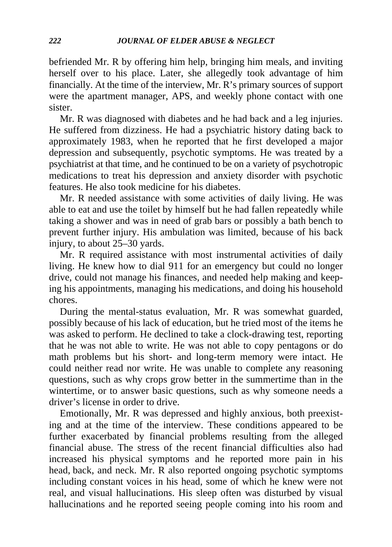befriended Mr. R by offering him help, bringing him meals, and inviting herself over to his place. Later, she allegedly took advantage of him financially. At the time of the interview, Mr. R's primary sources of support were the apartment manager, APS, and weekly phone contact with one sister.

Mr. R was diagnosed with diabetes and he had back and a leg injuries. He suffered from dizziness. He had a psychiatric history dating back to approximately 1983, when he reported that he first developed a major depression and subsequently, psychotic symptoms. He was treated by a psychiatrist at that time, and he continued to be on a variety of psychotropic medications to treat his depression and anxiety disorder with psychotic features. He also took medicine for his diabetes.

Mr. R needed assistance with some activities of daily living. He was able to eat and use the toilet by himself but he had fallen repeatedly while taking a shower and was in need of grab bars or possibly a bath bench to prevent further injury. His ambulation was limited, because of his back injury, to about 25–30 yards.

Mr. R required assistance with most instrumental activities of daily living. He knew how to dial 911 for an emergency but could no longer drive, could not manage his finances, and needed help making and keeping his appointments, managing his medications, and doing his household chores.

During the mental-status evaluation, Mr. R was somewhat guarded, possibly because of his lack of education, but he tried most of the items he was asked to perform. He declined to take a clock-drawing test, reporting that he was not able to write. He was not able to copy pentagons or do math problems but his short- and long-term memory were intact. He could neither read nor write. He was unable to complete any reasoning questions, such as why crops grow better in the summertime than in the wintertime, or to answer basic questions, such as why someone needs a driver's license in order to drive.

Emotionally, Mr. R was depressed and highly anxious, both preexisting and at the time of the interview. These conditions appeared to be further exacerbated by financial problems resulting from the alleged financial abuse. The stress of the recent financial difficulties also had increased his physical symptoms and he reported more pain in his head, back, and neck. Mr. R also reported ongoing psychotic symptoms including constant voices in his head, some of which he knew were not real, and visual hallucinations. His sleep often was disturbed by visual hallucinations and he reported seeing people coming into his room and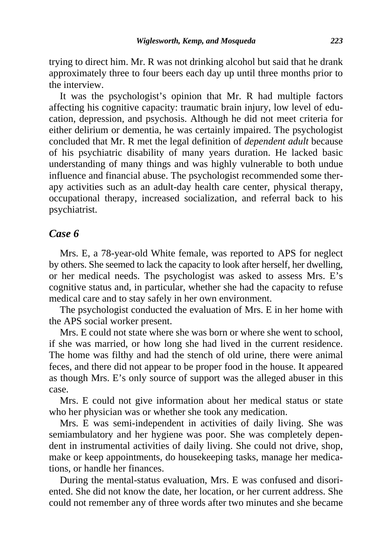trying to direct him. Mr. R was not drinking alcohol but said that he drank approximately three to four beers each day up until three months prior to the interview.

It was the psychologist's opinion that Mr. R had multiple factors affecting his cognitive capacity: traumatic brain injury, low level of education, depression, and psychosis. Although he did not meet criteria for either delirium or dementia, he was certainly impaired. The psychologist concluded that Mr. R met the legal definition of *dependent adult* because of his psychiatric disability of many years duration. He lacked basic understanding of many things and was highly vulnerable to both undue influence and financial abuse. The psychologist recommended some therapy activities such as an adult-day health care center, physical therapy, occupational therapy, increased socialization, and referral back to his psychiatrist.

# *Case 6*

Mrs. E, a 78-year-old White female, was reported to APS for neglect by others. She seemed to lack the capacity to look after herself, her dwelling, or her medical needs. The psychologist was asked to assess Mrs. E's cognitive status and, in particular, whether she had the capacity to refuse medical care and to stay safely in her own environment.

The psychologist conducted the evaluation of Mrs. E in her home with the APS social worker present.

Mrs. E could not state where she was born or where she went to school, if she was married, or how long she had lived in the current residence. The home was filthy and had the stench of old urine, there were animal feces, and there did not appear to be proper food in the house. It appeared as though Mrs. E's only source of support was the alleged abuser in this case.

Mrs. E could not give information about her medical status or state who her physician was or whether she took any medication.

Mrs. E was semi-independent in activities of daily living. She was semiambulatory and her hygiene was poor. She was completely dependent in instrumental activities of daily living. She could not drive, shop, make or keep appointments, do housekeeping tasks, manage her medications, or handle her finances.

During the mental-status evaluation, Mrs. E was confused and disoriented. She did not know the date, her location, or her current address. She could not remember any of three words after two minutes and she became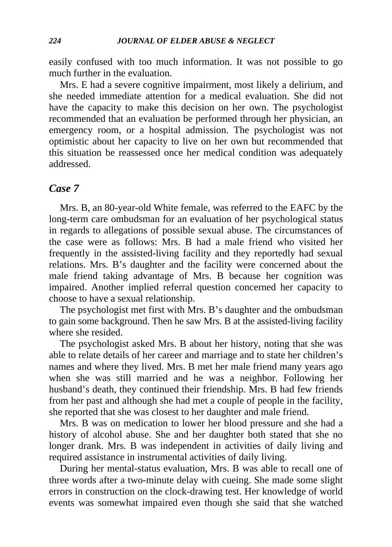easily confused with too much information. It was not possible to go much further in the evaluation.

Mrs. E had a severe cognitive impairment, most likely a delirium, and she needed immediate attention for a medical evaluation. She did not have the capacity to make this decision on her own. The psychologist recommended that an evaluation be performed through her physician, an emergency room, or a hospital admission. The psychologist was not optimistic about her capacity to live on her own but recommended that this situation be reassessed once her medical condition was adequately addressed.

# *Case 7*

Mrs. B, an 80-year-old White female, was referred to the EAFC by the long-term care ombudsman for an evaluation of her psychological status in regards to allegations of possible sexual abuse. The circumstances of the case were as follows: Mrs. B had a male friend who visited her frequently in the assisted-living facility and they reportedly had sexual relations. Mrs. B's daughter and the facility were concerned about the male friend taking advantage of Mrs. B because her cognition was impaired. Another implied referral question concerned her capacity to choose to have a sexual relationship.

The psychologist met first with Mrs. B's daughter and the ombudsman to gain some background. Then he saw Mrs. B at the assisted-living facility where she resided.

The psychologist asked Mrs. B about her history, noting that she was able to relate details of her career and marriage and to state her children's names and where they lived. Mrs. B met her male friend many years ago when she was still married and he was a neighbor. Following her husband's death, they continued their friendship. Mrs. B had few friends from her past and although she had met a couple of people in the facility, she reported that she was closest to her daughter and male friend.

Mrs. B was on medication to lower her blood pressure and she had a history of alcohol abuse. She and her daughter both stated that she no longer drank. Mrs. B was independent in activities of daily living and required assistance in instrumental activities of daily living.

During her mental-status evaluation, Mrs. B was able to recall one of three words after a two-minute delay with cueing. She made some slight errors in construction on the clock-drawing test. Her knowledge of world events was somewhat impaired even though she said that she watched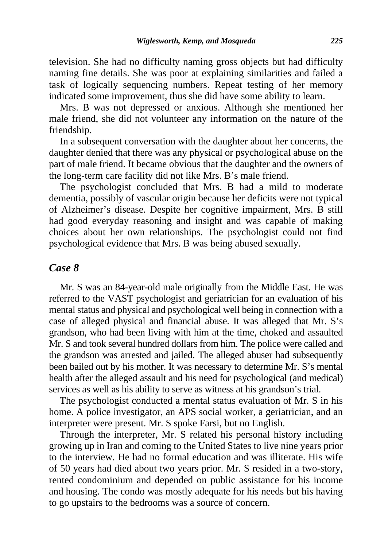television. She had no difficulty naming gross objects but had difficulty naming fine details. She was poor at explaining similarities and failed a task of logically sequencing numbers. Repeat testing of her memory indicated some improvement, thus she did have some ability to learn.

Mrs. B was not depressed or anxious. Although she mentioned her male friend, she did not volunteer any information on the nature of the friendship.

In a subsequent conversation with the daughter about her concerns, the daughter denied that there was any physical or psychological abuse on the part of male friend. It became obvious that the daughter and the owners of the long-term care facility did not like Mrs. B's male friend.

The psychologist concluded that Mrs. B had a mild to moderate dementia, possibly of vascular origin because her deficits were not typical of Alzheimer's disease. Despite her cognitive impairment, Mrs. B still had good everyday reasoning and insight and was capable of making choices about her own relationships. The psychologist could not find psychological evidence that Mrs. B was being abused sexually.

## *Case 8*

Mr. S was an 84-year-old male originally from the Middle East. He was referred to the VAST psychologist and geriatrician for an evaluation of his mental status and physical and psychological well being in connection with a case of alleged physical and financial abuse. It was alleged that Mr. S's grandson, who had been living with him at the time, choked and assaulted Mr. S and took several hundred dollars from him. The police were called and the grandson was arrested and jailed. The alleged abuser had subsequently been bailed out by his mother. It was necessary to determine Mr. S's mental health after the alleged assault and his need for psychological (and medical) services as well as his ability to serve as witness at his grandson's trial.

The psychologist conducted a mental status evaluation of Mr. S in his home. A police investigator, an APS social worker, a geriatrician, and an interpreter were present. Mr. S spoke Farsi, but no English.

Through the interpreter, Mr. S related his personal history including growing up in Iran and coming to the United States to live nine years prior to the interview. He had no formal education and was illiterate. His wife of 50 years had died about two years prior. Mr. S resided in a two-story, rented condominium and depended on public assistance for his income and housing. The condo was mostly adequate for his needs but his having to go upstairs to the bedrooms was a source of concern.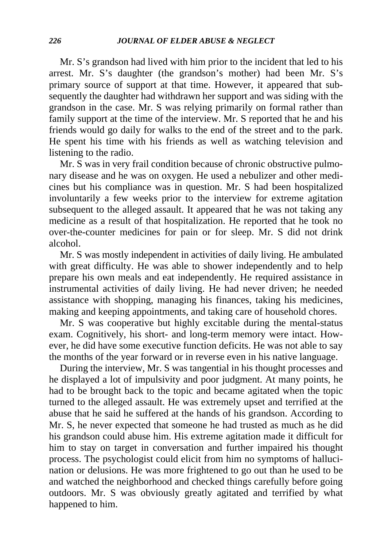Mr. S's grandson had lived with him prior to the incident that led to his arrest. Mr. S's daughter (the grandson's mother) had been Mr. S's primary source of support at that time. However, it appeared that subsequently the daughter had withdrawn her support and was siding with the grandson in the case. Mr. S was relying primarily on formal rather than family support at the time of the interview. Mr. S reported that he and his friends would go daily for walks to the end of the street and to the park. He spent his time with his friends as well as watching television and listening to the radio.

Mr. S was in very frail condition because of chronic obstructive pulmonary disease and he was on oxygen. He used a nebulizer and other medicines but his compliance was in question. Mr. S had been hospitalized involuntarily a few weeks prior to the interview for extreme agitation subsequent to the alleged assault. It appeared that he was not taking any medicine as a result of that hospitalization. He reported that he took no over-the-counter medicines for pain or for sleep. Mr. S did not drink alcohol.

Mr. S was mostly independent in activities of daily living. He ambulated with great difficulty. He was able to shower independently and to help prepare his own meals and eat independently. He required assistance in instrumental activities of daily living. He had never driven; he needed assistance with shopping, managing his finances, taking his medicines, making and keeping appointments, and taking care of household chores.

Mr. S was cooperative but highly excitable during the mental-status exam. Cognitively, his short- and long-term memory were intact. However, he did have some executive function deficits. He was not able to say the months of the year forward or in reverse even in his native language.

During the interview, Mr. S was tangential in his thought processes and he displayed a lot of impulsivity and poor judgment. At many points, he had to be brought back to the topic and became agitated when the topic turned to the alleged assault. He was extremely upset and terrified at the abuse that he said he suffered at the hands of his grandson. According to Mr. S, he never expected that someone he had trusted as much as he did his grandson could abuse him. His extreme agitation made it difficult for him to stay on target in conversation and further impaired his thought process. The psychologist could elicit from him no symptoms of hallucination or delusions. He was more frightened to go out than he used to be and watched the neighborhood and checked things carefully before going outdoors. Mr. S was obviously greatly agitated and terrified by what happened to him.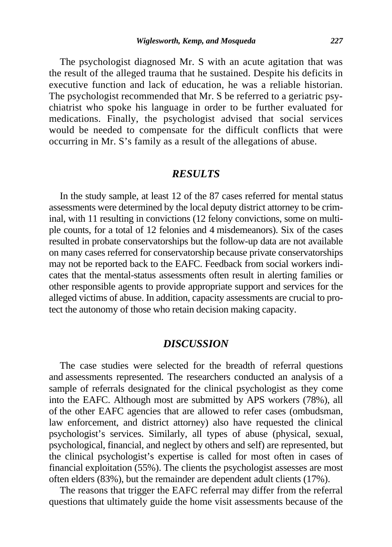The psychologist diagnosed Mr. S with an acute agitation that was the result of the alleged trauma that he sustained. Despite his deficits in executive function and lack of education, he was a reliable historian. The psychologist recommended that Mr. S be referred to a geriatric psychiatrist who spoke his language in order to be further evaluated for medications. Finally, the psychologist advised that social services would be needed to compensate for the difficult conflicts that were occurring in Mr. S's family as a result of the allegations of abuse.

#### *RESULTS*

In the study sample, at least 12 of the 87 cases referred for mental status assessments were determined by the local deputy district attorney to be criminal, with 11 resulting in convictions (12 felony convictions, some on multiple counts, for a total of 12 felonies and 4 misdemeanors). Six of the cases resulted in probate conservatorships but the follow-up data are not available on many cases referred for conservatorship because private conservatorships may not be reported back to the EAFC. Feedback from social workers indicates that the mental-status assessments often result in alerting families or other responsible agents to provide appropriate support and services for the alleged victims of abuse. In addition, capacity assessments are crucial to protect the autonomy of those who retain decision making capacity.

#### *DISCUSSION*

The case studies were selected for the breadth of referral questions and assessments represented. The researchers conducted an analysis of a sample of referrals designated for the clinical psychologist as they come into the EAFC. Although most are submitted by APS workers (78%), all of the other EAFC agencies that are allowed to refer cases (ombudsman, law enforcement, and district attorney) also have requested the clinical psychologist's services. Similarly, all types of abuse (physical, sexual, psychological, financial, and neglect by others and self) are represented, but the clinical psychologist's expertise is called for most often in cases of financial exploitation (55%). The clients the psychologist assesses are most often elders (83%), but the remainder are dependent adult clients (17%).

The reasons that trigger the EAFC referral may differ from the referral questions that ultimately guide the home visit assessments because of the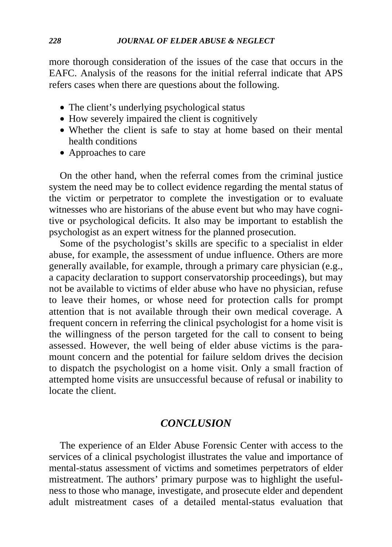more thorough consideration of the issues of the case that occurs in the EAFC. Analysis of the reasons for the initial referral indicate that APS refers cases when there are questions about the following.

- The client's underlying psychological status
- How severely impaired the client is cognitively
- Whether the client is safe to stay at home based on their mental health conditions
- Approaches to care

On the other hand, when the referral comes from the criminal justice system the need may be to collect evidence regarding the mental status of the victim or perpetrator to complete the investigation or to evaluate witnesses who are historians of the abuse event but who may have cognitive or psychological deficits. It also may be important to establish the psychologist as an expert witness for the planned prosecution.

Some of the psychologist's skills are specific to a specialist in elder abuse, for example, the assessment of undue influence. Others are more generally available, for example, through a primary care physician (e.g., a capacity declaration to support conservatorship proceedings), but may not be available to victims of elder abuse who have no physician, refuse to leave their homes, or whose need for protection calls for prompt attention that is not available through their own medical coverage. A frequent concern in referring the clinical psychologist for a home visit is the willingness of the person targeted for the call to consent to being assessed. However, the well being of elder abuse victims is the paramount concern and the potential for failure seldom drives the decision to dispatch the psychologist on a home visit. Only a small fraction of attempted home visits are unsuccessful because of refusal or inability to locate the client.

# *CONCLUSION*

The experience of an Elder Abuse Forensic Center with access to the services of a clinical psychologist illustrates the value and importance of mental-status assessment of victims and sometimes perpetrators of elder mistreatment. The authors' primary purpose was to highlight the usefulness to those who manage, investigate, and prosecute elder and dependent adult mistreatment cases of a detailed mental-status evaluation that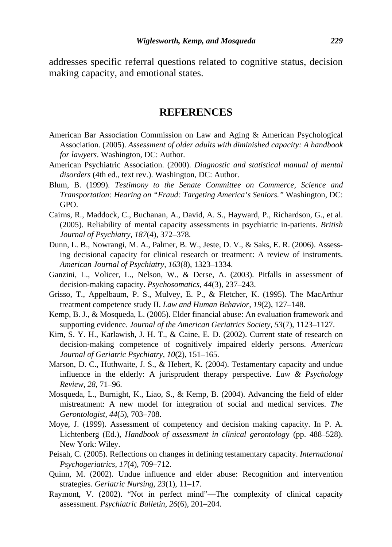addresses specific referral questions related to cognitive status, decision making capacity, and emotional states.

#### **REFERENCES**

- American Bar Association Commission on Law and Aging & American Psychological Association. (2005). *Assessment of older adults with diminished capacity: A handbook for lawyers*. Washington, DC: Author.
- American Psychiatric Association. (2000). *Diagnostic and statistical manual of mental disorders* (4th ed., text rev.). Washington, DC: Author.
- Blum, B. (1999). *Testimony to the Senate Committee on Commerce, Science and Transportation: Hearing on "Fraud: Targeting America's Seniors."* Washington, DC: GPO.
- Cairns, R., Maddock, C., Buchanan, A., David, A. S., Hayward, P., Richardson, G., et al. (2005). Reliability of mental capacity assessments in psychiatric in-patients. *British Journal of Psychiatry, 187*(4), 372–378.
- Dunn, L. B., Nowrangi, M. A., Palmer, B. W., Jeste, D. V., & Saks, E. R. (2006). Assessing decisional capacity for clinical research or treatment: A review of instruments. *American Journal of Psychiatry, 163*(8), 1323–1334.
- Ganzini, L., Volicer, L., Nelson, W., & Derse, A. (2003). Pitfalls in assessment of decision-making capacity. *Psychosomatics, 44*(3), 237–243.
- Grisso, T., Appelbaum, P. S., Mulvey, E. P., & Fletcher, K. (1995). The MacArthur treatment competence study II. *Law and Human Behavior, 19*(2), 127–148.
- Kemp, B. J., & Mosqueda, L. (2005). Elder financial abuse: An evaluation framework and supporting evidence. *Journal of the American Geriatrics Society, 53*(7), 1123–1127.
- Kim, S. Y. H., Karlawish, J. H. T., & Caine, E. D. (2002). Current state of research on decision-making competence of cognitively impaired elderly persons. *American Journal of Geriatric Psychiatry, 10*(2), 151–165.
- Marson, D. C., Huthwaite, J. S., & Hebert, K. (2004). Testamentary capacity and undue influence in the elderly: A jurisprudent therapy perspective. *Law & Psychology Review, 28*, 71–96.
- Mosqueda, L., Burnight, K., Liao, S., & Kemp, B. (2004). Advancing the field of elder mistreatment: A new model for integration of social and medical services. *The Gerontologist, 44*(5), 703–708.
- Moye, J. (1999). Assessment of competency and decision making capacity. In P. A. Lichtenberg (Ed.), *Handbook of assessment in clinical gerontolog*y (pp. 488–528). New York: Wiley.
- Peisah, C. (2005). Reflections on changes in defining testamentary capacity. *International Psychogeriatrics, 17*(4), 709–712.
- Quinn, M. (2002). Undue influence and elder abuse: Recognition and intervention strategies. *Geriatric Nursing, 23*(1), 11–17.
- Raymont, V. (2002). "Not in perfect mind"—The complexity of clinical capacity assessment. *Psychiatric Bulletin, 26*(6), 201–204.